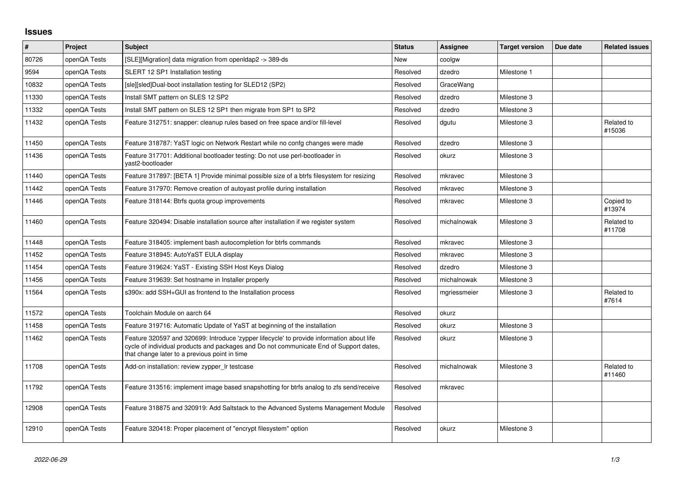## **Issues**

| $\pmb{\sharp}$ | Project      | <b>Subject</b>                                                                                                                                                                                                                       | <b>Status</b> | <b>Assignee</b> | <b>Target version</b> | Due date | <b>Related issues</b> |
|----------------|--------------|--------------------------------------------------------------------------------------------------------------------------------------------------------------------------------------------------------------------------------------|---------------|-----------------|-----------------------|----------|-----------------------|
| 80726          | openQA Tests | [SLE][Migration] data migration from openIdap2 -> 389-ds                                                                                                                                                                             | <b>New</b>    | coolgw          |                       |          |                       |
| 9594           | openQA Tests | SLERT 12 SP1 Installation testing                                                                                                                                                                                                    | Resolved      | dzedro          | Milestone 1           |          |                       |
| 10832          | openQA Tests | [sle][sled]Dual-boot installation testing for SLED12 (SP2)                                                                                                                                                                           | Resolved      | GraceWang       |                       |          |                       |
| 11330          | openQA Tests | Install SMT pattern on SLES 12 SP2                                                                                                                                                                                                   | Resolved      | dzedro          | Milestone 3           |          |                       |
| 11332          | openQA Tests | Install SMT pattern on SLES 12 SP1 then migrate from SP1 to SP2                                                                                                                                                                      | Resolved      | dzedro          | Milestone 3           |          |                       |
| 11432          | openQA Tests | Feature 312751: snapper: cleanup rules based on free space and/or fill-level                                                                                                                                                         | Resolved      | dgutu           | Milestone 3           |          | Related to<br>#15036  |
| 11450          | openQA Tests | Feature 318787: YaST logic on Network Restart while no confg changes were made                                                                                                                                                       | Resolved      | dzedro          | Milestone 3           |          |                       |
| 11436          | openQA Tests | Feature 317701: Additional bootloader testing: Do not use perl-bootloader in<br>yast2-bootloader                                                                                                                                     | Resolved      | okurz           | Milestone 3           |          |                       |
| 11440          | openQA Tests | Feature 317897: [BETA 1] Provide minimal possible size of a btrfs filesystem for resizing                                                                                                                                            | Resolved      | mkravec         | Milestone 3           |          |                       |
| 11442          | openQA Tests | Feature 317970: Remove creation of autoyast profile during installation                                                                                                                                                              | Resolved      | mkravec         | Milestone 3           |          |                       |
| 11446          | openQA Tests | Feature 318144: Btrfs quota group improvements                                                                                                                                                                                       | Resolved      | mkravec         | Milestone 3           |          | Copied to<br>#13974   |
| 11460          | openQA Tests | Feature 320494: Disable installation source after installation if we register system                                                                                                                                                 | Resolved      | michalnowak     | Milestone 3           |          | Related to<br>#11708  |
| 11448          | openQA Tests | Feature 318405: implement bash autocompletion for btrfs commands                                                                                                                                                                     | Resolved      | mkravec         | Milestone 3           |          |                       |
| 11452          | openQA Tests | Feature 318945: AutoYaST EULA display                                                                                                                                                                                                | Resolved      | mkravec         | Milestone 3           |          |                       |
| 11454          | openQA Tests | Feature 319624: YaST - Existing SSH Host Keys Dialog                                                                                                                                                                                 | Resolved      | dzedro          | Milestone 3           |          |                       |
| 11456          | openQA Tests | Feature 319639: Set hostname in Installer properly                                                                                                                                                                                   | Resolved      | michalnowak     | Milestone 3           |          |                       |
| 11564          | openQA Tests | s390x: add SSH+GUI as frontend to the Installation process                                                                                                                                                                           | Resolved      | mgriessmeier    | Milestone 3           |          | Related to<br>#7614   |
| 11572          | openQA Tests | Toolchain Module on aarch 64                                                                                                                                                                                                         | Resolved      | okurz           |                       |          |                       |
| 11458          | openQA Tests | Feature 319716: Automatic Update of YaST at beginning of the installation                                                                                                                                                            | Resolved      | okurz           | Milestone 3           |          |                       |
| 11462          | openQA Tests | Feature 320597 and 320699: Introduce 'zypper lifecycle' to provide information about life<br>cycle of individual products and packages and Do not communicate End of Support dates,<br>that change later to a previous point in time | Resolved      | okurz           | Milestone 3           |          |                       |
| 11708          | openQA Tests | Add-on installation: review zypper Ir testcase                                                                                                                                                                                       | Resolved      | michalnowak     | Milestone 3           |          | Related to<br>#11460  |
| 11792          | openQA Tests | Feature 313516: implement image based snapshotting for btrfs analog to zfs send/receive                                                                                                                                              | Resolved      | mkravec         |                       |          |                       |
| 12908          | openQA Tests | Feature 318875 and 320919: Add Saltstack to the Advanced Systems Management Module                                                                                                                                                   | Resolved      |                 |                       |          |                       |
| 12910          | openQA Tests | Feature 320418: Proper placement of "encrypt filesystem" option                                                                                                                                                                      | Resolved      | okurz           | Milestone 3           |          |                       |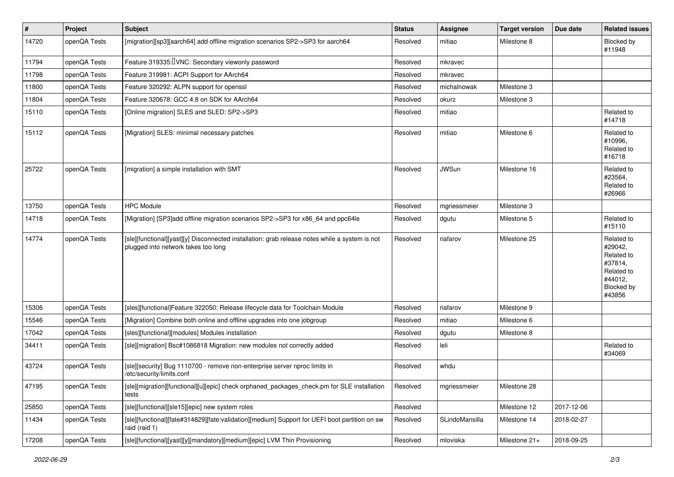| #     | Project      | Subject                                                                                                                               | <b>Status</b> | <b>Assignee</b> | <b>Target version</b> | Due date   | <b>Related issues</b>                                                                           |
|-------|--------------|---------------------------------------------------------------------------------------------------------------------------------------|---------------|-----------------|-----------------------|------------|-------------------------------------------------------------------------------------------------|
| 14720 | openQA Tests | [migration][sp3][aarch64] add offline migration scenarios SP2->SP3 for aarch64                                                        | Resolved      | mitiao          | Milestone 8           |            | Blocked by<br>#11948                                                                            |
| 11794 | openQA Tests | Feature 319335: <i>UNC</i> : Secondary viewonly password                                                                              | Resolved      | mkravec         |                       |            |                                                                                                 |
| 11798 | openQA Tests | Feature 319981: ACPI Support for AArch64                                                                                              | Resolved      | mkravec         |                       |            |                                                                                                 |
| 11800 | openQA Tests | Feature 320292: ALPN support for openssl                                                                                              | Resolved      | michalnowak     | Milestone 3           |            |                                                                                                 |
| 11804 | openQA Tests | Feature 320678: GCC 4.8 on SDK for AArch64                                                                                            | Resolved      | okurz           | Milestone 3           |            |                                                                                                 |
| 15110 | openQA Tests | [Online migration] SLES and SLED: SP2->SP3                                                                                            | Resolved      | mitiao          |                       |            | Related to<br>#14718                                                                            |
| 15112 | openQA Tests | [Migration] SLES: minimal necessary patches                                                                                           | Resolved      | mitiao          | Milestone 6           |            | Related to<br>#10996,<br>Related to<br>#16718                                                   |
| 25722 | openQA Tests | [migration] a simple installation with SMT                                                                                            | Resolved      | <b>JWSun</b>    | Milestone 16          |            | Related to<br>#23564,<br>Related to<br>#26966                                                   |
| 13750 | openQA Tests | <b>HPC Module</b>                                                                                                                     | Resolved      | mgriessmeier    | Milestone 3           |            |                                                                                                 |
| 14718 | openQA Tests | [Migration] [SP3]add offline migration scenarios SP2->SP3 for x86_64 and ppc64le                                                      | Resolved      | dgutu           | Milestone 5           |            | Related to<br>#15110                                                                            |
| 14774 | openQA Tests | [sle][functional][yast][y] Disconnected installation: grab release notes while a system is not<br>plugged into network takes too long | Resolved      | riafarov        | Milestone 25          |            | Related to<br>#29042,<br>Related to<br>#37814,<br>Related to<br>#44012,<br>Blocked by<br>#43856 |
| 15306 | openQA Tests | [sles][functional]Feature 322050: Release lifecycle data for Toolchain Module                                                         | Resolved      | riafarov        | Milestone 9           |            |                                                                                                 |
| 15546 | openQA Tests | [Migration] Combine both online and offline upgrades into one jobgroup                                                                | Resolved      | mitiao          | Milestone 6           |            |                                                                                                 |
| 17042 | openQA Tests | [sles][functional][modules] Modules installation                                                                                      | Resolved      | dgutu           | Milestone 8           |            |                                                                                                 |
| 34411 | openQA Tests | [sle][migration] Bsc#1086818 Migration: new modules not correctly added                                                               | Resolved      | leli            |                       |            | Related to<br>#34069                                                                            |
| 43724 | openQA Tests | [sle][security] Bug 1110700 - remove non-enterprise server nproc limits in<br>/etc/security/limits.conf                               | Resolved      | whdu            |                       |            |                                                                                                 |
| 47195 | openQA Tests | [sle][migration][functional][u][epic] check orphaned_packages_check.pm for SLE installation<br>tests                                  | Resolved      | mgriessmeier    | Milestone 28          |            |                                                                                                 |
| 25850 | openQA Tests | [sle][functional][sle15][epic] new system roles                                                                                       | Resolved      |                 | Milestone 12          | 2017-12-06 |                                                                                                 |
| 11434 | openQA Tests | [sle][functional][fate#314829][fate:validation][medium] Support for UEFI boot partition on sw<br>raid (raid 1)                        | Resolved      | SLindoMansilla  | Milestone 14          | 2018-02-27 |                                                                                                 |
| 17208 | openQA Tests | [sle][functional][yast][y][mandatory][medium][epic] LVM Thin Provisioning                                                             | Resolved      | mloviska        | Milestone 21+         | 2018-09-25 |                                                                                                 |